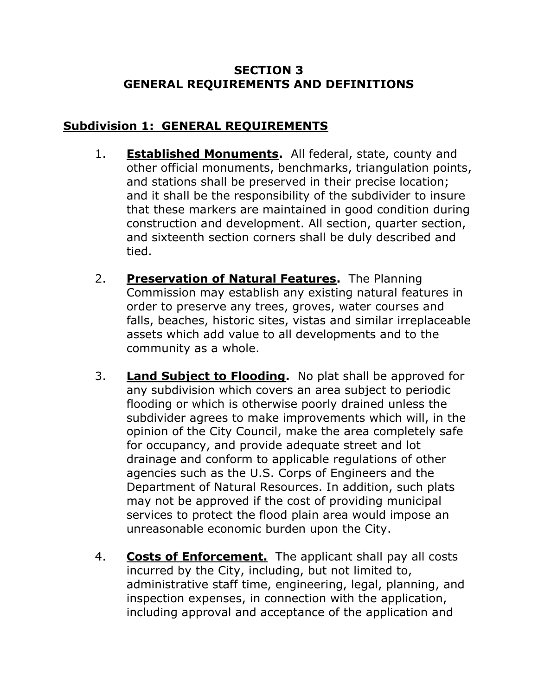## **SECTION 3 GENERAL REQUIREMENTS AND DEFINITIONS**

## **Subdivision 1: GENERAL REQUIREMENTS**

- 1. **Established Monuments.** All federal, state, county and other official monuments, benchmarks, triangulation points, and stations shall be preserved in their precise location; and it shall be the responsibility of the subdivider to insure that these markers are maintained in good condition during construction and development. All section, quarter section, and sixteenth section corners shall be duly described and tied.
- 2. **Preservation of Natural Features.** The Planning Commission may establish any existing natural features in order to preserve any trees, groves, water courses and falls, beaches, historic sites, vistas and similar irreplaceable assets which add value to all developments and to the community as a whole.
- 3. **Land Subject to Flooding.** No plat shall be approved for any subdivision which covers an area subject to periodic flooding or which is otherwise poorly drained unless the subdivider agrees to make improvements which will, in the opinion of the City Council, make the area completely safe for occupancy, and provide adequate street and lot drainage and conform to applicable regulations of other agencies such as the U.S. Corps of Engineers and the Department of Natural Resources. In addition, such plats may not be approved if the cost of providing municipal services to protect the flood plain area would impose an unreasonable economic burden upon the City.
- 4. **Costs of Enforcement.** The applicant shall pay all costs incurred by the City, including, but not limited to, administrative staff time, engineering, legal, planning, and inspection expenses, in connection with the application, including approval and acceptance of the application and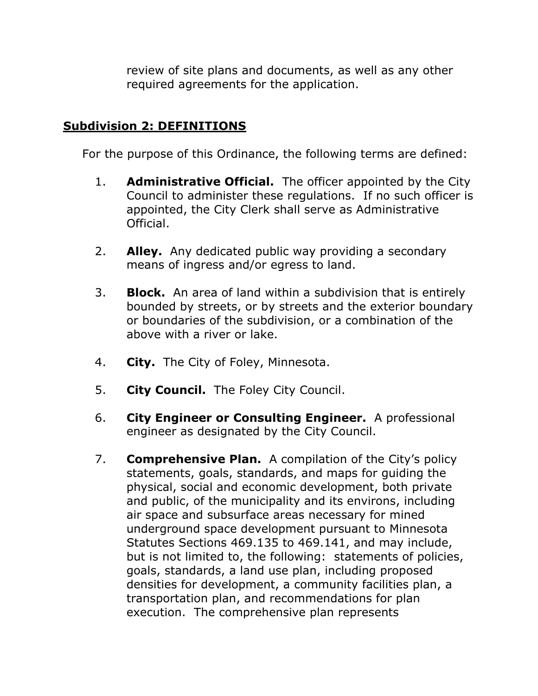review of site plans and documents, as well as any other required agreements for the application.

## **Subdivision 2: DEFINITIONS**

For the purpose of this Ordinance, the following terms are defined:

- 1. **Administrative Official.** The officer appointed by the City Council to administer these regulations. If no such officer is appointed, the City Clerk shall serve as Administrative Official.
- 2. **Alley.** Any dedicated public way providing a secondary means of ingress and/or egress to land.
- 3. **Block.** An area of land within a subdivision that is entirely bounded by streets, or by streets and the exterior boundary or boundaries of the subdivision, or a combination of the above with a river or lake.
- 4. **City.** The City of Foley, Minnesota.
- 5. **City Council.** The Foley City Council.
- 6. **City Engineer or Consulting Engineer.** A professional engineer as designated by the City Council.
- 7. **Comprehensive Plan.** A compilation of the City's policy statements, goals, standards, and maps for guiding the physical, social and economic development, both private and public, of the municipality and its environs, including air space and subsurface areas necessary for mined underground space development pursuant to Minnesota Statutes Sections 469.135 to 469.141, and may include, but is not limited to, the following: statements of policies, goals, standards, a land use plan, including proposed densities for development, a community facilities plan, a transportation plan, and recommendations for plan execution. The comprehensive plan represents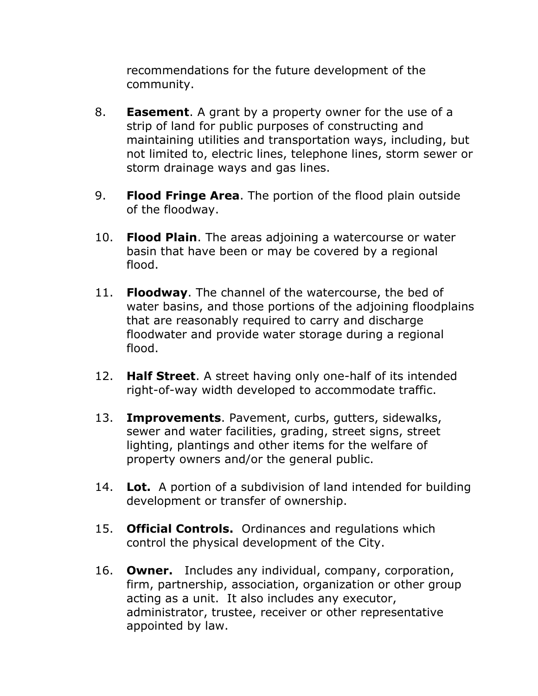recommendations for the future development of the community.

- 8. **Easement**. A grant by a property owner for the use of a strip of land for public purposes of constructing and maintaining utilities and transportation ways, including, but not limited to, electric lines, telephone lines, storm sewer or storm drainage ways and gas lines.
- 9. **Flood Fringe Area**. The portion of the flood plain outside of the floodway.
- 10. **Flood Plain**. The areas adjoining a watercourse or water basin that have been or may be covered by a regional flood.
- 11. **Floodway**. The channel of the watercourse, the bed of water basins, and those portions of the adjoining floodplains that are reasonably required to carry and discharge floodwater and provide water storage during a regional flood.
- 12. **Half Street**. A street having only one-half of its intended right-of-way width developed to accommodate traffic.
- 13. **Improvements**. Pavement, curbs, gutters, sidewalks, sewer and water facilities, grading, street signs, street lighting, plantings and other items for the welfare of property owners and/or the general public.
- 14. **Lot.** A portion of a subdivision of land intended for building development or transfer of ownership.
- 15. **Official Controls.** Ordinances and regulations which control the physical development of the City.
- 16. **Owner.** Includes any individual, company, corporation, firm, partnership, association, organization or other group acting as a unit. It also includes any executor, administrator, trustee, receiver or other representative appointed by law.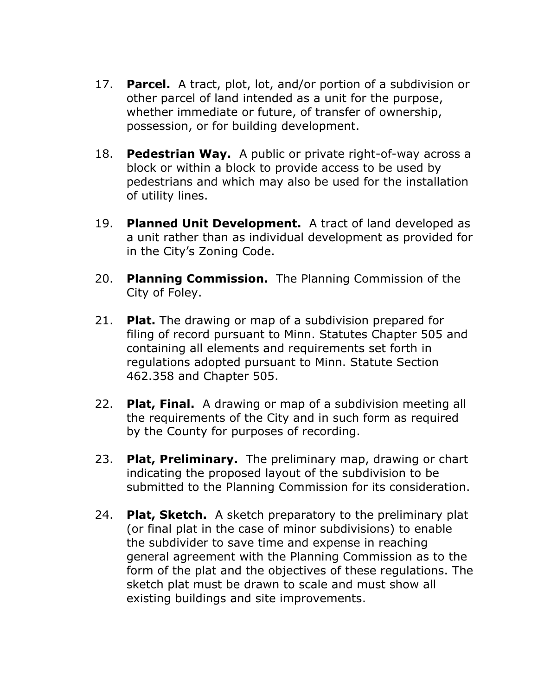- 17. **Parcel.** A tract, plot, lot, and/or portion of a subdivision or other parcel of land intended as a unit for the purpose, whether immediate or future, of transfer of ownership, possession, or for building development.
- 18. **Pedestrian Way.** A public or private right-of-way across a block or within a block to provide access to be used by pedestrians and which may also be used for the installation of utility lines.
- 19. **Planned Unit Development.** A tract of land developed as a unit rather than as individual development as provided for in the City's Zoning Code.
- 20. **Planning Commission.** The Planning Commission of the City of Foley.
- 21. **Plat.** The drawing or map of a subdivision prepared for filing of record pursuant to Minn. Statutes Chapter 505 and containing all elements and requirements set forth in regulations adopted pursuant to Minn. Statute Section 462.358 and Chapter 505.
- 22. **Plat, Final.** A drawing or map of a subdivision meeting all the requirements of the City and in such form as required by the County for purposes of recording.
- 23. **Plat, Preliminary.** The preliminary map, drawing or chart indicating the proposed layout of the subdivision to be submitted to the Planning Commission for its consideration.
- 24. **Plat, Sketch.** A sketch preparatory to the preliminary plat (or final plat in the case of minor subdivisions) to enable the subdivider to save time and expense in reaching general agreement with the Planning Commission as to the form of the plat and the objectives of these regulations. The sketch plat must be drawn to scale and must show all existing buildings and site improvements.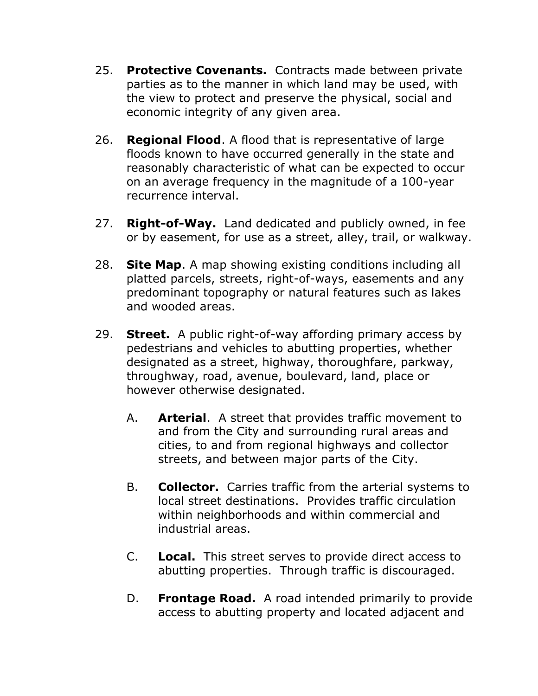- 25. **Protective Covenants.** Contracts made between private parties as to the manner in which land may be used, with the view to protect and preserve the physical, social and economic integrity of any given area.
- 26. **Regional Flood**. A flood that is representative of large floods known to have occurred generally in the state and reasonably characteristic of what can be expected to occur on an average frequency in the magnitude of a 100-year recurrence interval.
- 27. **Right-of-Way.** Land dedicated and publicly owned, in fee or by easement, for use as a street, alley, trail, or walkway.
- 28. **Site Map**. A map showing existing conditions including all platted parcels, streets, right-of-ways, easements and any predominant topography or natural features such as lakes and wooded areas.
- 29. **Street.** A public right-of-way affording primary access by pedestrians and vehicles to abutting properties, whether designated as a street, highway, thoroughfare, parkway, throughway, road, avenue, boulevard, land, place or however otherwise designated.
	- A. **Arterial**. A street that provides traffic movement to and from the City and surrounding rural areas and cities, to and from regional highways and collector streets, and between major parts of the City.
	- B. **Collector.** Carries traffic from the arterial systems to local street destinations. Provides traffic circulation within neighborhoods and within commercial and industrial areas.
	- C. **Local.** This street serves to provide direct access to abutting properties. Through traffic is discouraged.
	- D. **Frontage Road.** A road intended primarily to provide access to abutting property and located adjacent and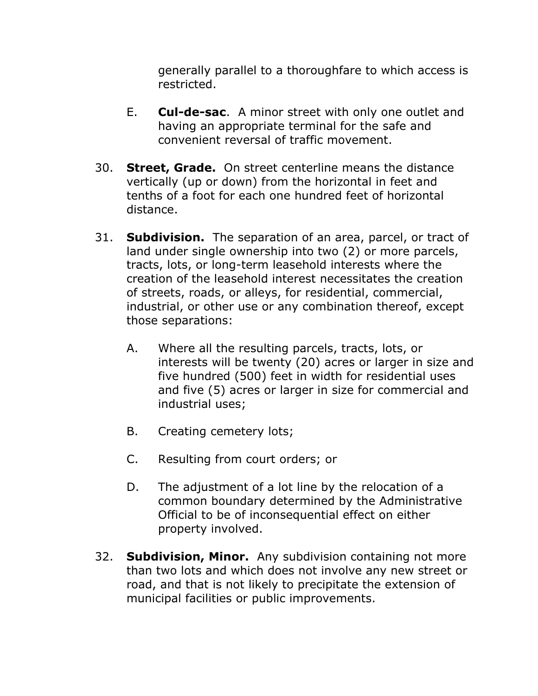generally parallel to a thoroughfare to which access is restricted.

- E. **Cul-de-sac**. A minor street with only one outlet and having an appropriate terminal for the safe and convenient reversal of traffic movement.
- 30. **Street, Grade.** On street centerline means the distance vertically (up or down) from the horizontal in feet and tenths of a foot for each one hundred feet of horizontal distance.
- 31. **Subdivision.** The separation of an area, parcel, or tract of land under single ownership into two (2) or more parcels, tracts, lots, or long-term leasehold interests where the creation of the leasehold interest necessitates the creation of streets, roads, or alleys, for residential, commercial, industrial, or other use or any combination thereof, except those separations:
	- A. Where all the resulting parcels, tracts, lots, or interests will be twenty (20) acres or larger in size and five hundred (500) feet in width for residential uses and five (5) acres or larger in size for commercial and industrial uses;
	- B. Creating cemetery lots;
	- C. Resulting from court orders; or
	- D. The adjustment of a lot line by the relocation of a common boundary determined by the Administrative Official to be of inconsequential effect on either property involved.
- 32. **Subdivision, Minor.** Any subdivision containing not more than two lots and which does not involve any new street or road, and that is not likely to precipitate the extension of municipal facilities or public improvements.